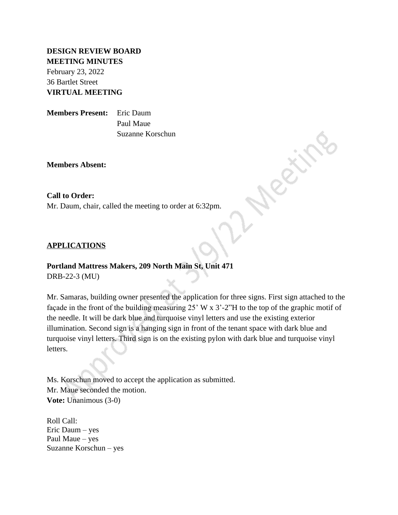# **DESIGN REVIEW BOARD MEETING MINUTES**

February 23, 2022 36 Bartlet Street **VIRTUAL MEETING**

**Members Present:** Eric Daum Paul Maue Suzanne Korschun

**Members Absent:**

### **Call to Order:**

Mr. Daum, chair, called the meeting to order at 6:32pm.

### **APPLICATIONS**

## **Portland Mattress Makers, 209 North Main St, Unit 471**

DRB-22-3 (MU)

Mr. Samaras, building owner presented the application for three signs. First sign attached to the façade in the front of the building measuring 25' W x 3'-2"H to the top of the graphic motif of the needle. It will be dark blue and turquoise vinyl letters and use the existing exterior illumination. Second sign is a hanging sign in front of the tenant space with dark blue and turquoise vinyl letters. Third sign is on the existing pylon with dark blue and turquoise vinyl letters.

Ms. Korschun moved to accept the application as submitted. Mr. Maue seconded the motion. **Vote:** Unanimous (3-0)

Roll Call: Eric Daum – yes Paul Maue – yes Suzanne Korschun – yes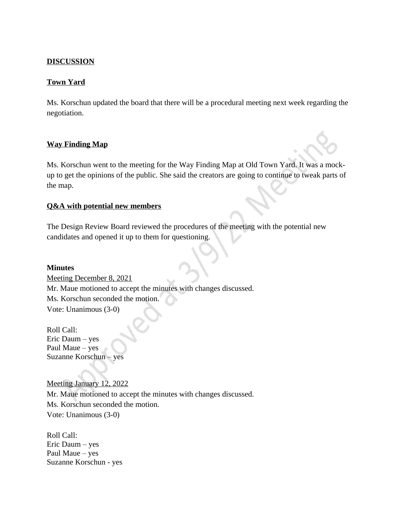## **DISCUSSION**

## **Town Yard**

Ms. Korschun updated the board that there will be a procedural meeting next week regarding the negotiation.

### **Way Finding Map**

Ms. Korschun went to the meeting for the Way Finding Map at Old Town Yard. It was a mockup to get the opinions of the public. She said the creators are going to continue to tweak parts of the map.

### **Q&A with potential new members**

The Design Review Board reviewed the procedures of the meeting with the potential new candidates and opened it up to them for questioning.

#### **Minutes**

Meeting December 8, 2021 Mr. Maue motioned to accept the minutes with changes discussed. Ms. Korschun seconded the motion. Vote: Unanimous (3-0)

Roll Call: Eric Daum – yes Paul Maue – yes Suzanne Korschun – yes

# Meeting January 12, 2022

Mr. Maue motioned to accept the minutes with changes discussed. Ms. Korschun seconded the motion. Vote: Unanimous (3-0)

Roll Call: Eric Daum – yes Paul Maue – yes Suzanne Korschun - yes